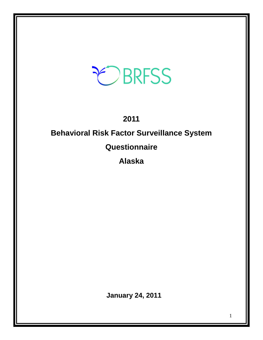# EBRFSS

# **2011**

# **Behavioral Risk Factor Surveillance System**

# **Questionnaire**

**Alaska** 

**January 24, 2011**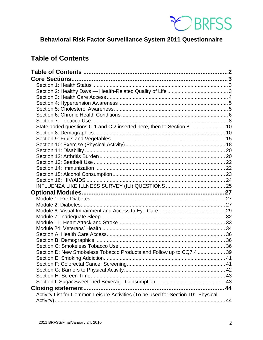

# Behavioral Risk Factor Surveillance System 2011 Questionnaire

# <span id="page-1-0"></span>**Table of Contents**

| State added questions C.1 and C.2 inserted here, then to Section 8.  10          |  |
|----------------------------------------------------------------------------------|--|
|                                                                                  |  |
|                                                                                  |  |
|                                                                                  |  |
|                                                                                  |  |
|                                                                                  |  |
|                                                                                  |  |
|                                                                                  |  |
|                                                                                  |  |
|                                                                                  |  |
|                                                                                  |  |
|                                                                                  |  |
|                                                                                  |  |
|                                                                                  |  |
|                                                                                  |  |
|                                                                                  |  |
|                                                                                  |  |
|                                                                                  |  |
|                                                                                  |  |
|                                                                                  |  |
|                                                                                  |  |
|                                                                                  |  |
| Section D: New Smokeless Tobacco Products and Follow up to CQ7.4  39             |  |
|                                                                                  |  |
|                                                                                  |  |
|                                                                                  |  |
|                                                                                  |  |
|                                                                                  |  |
|                                                                                  |  |
| Activity List for Common Leisure Activities (To be used for Section 10: Physical |  |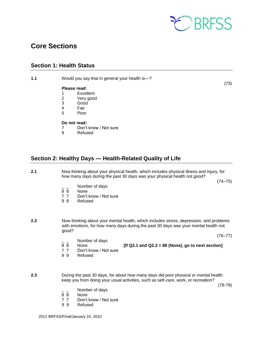

# <span id="page-2-0"></span>**Core Sections**

# <span id="page-2-1"></span>**Section 1: Health Status**

**1.1** Would you say that in general your health is—?

#### **Please read:**

- 1 Excellent
- 2 Very good
- 3 Good
- 4 Fair<br>5 Poor
	- Poor

## **Do not read:**

- 7 Don't know / Not sure
- 9 Refused

# <span id="page-2-2"></span>**Section 2: Healthy Days — Health-Related Quality of Life**

#### **2.1** Now thinking about your physical health, which includes physical illness and injury, for how many days during the past 30 days was your physical health not good?

 $(74-75)$ 

- $\overline{8}$   $\overline{8}$  Number of days
- **None**
- 7 7 Don't know / Not sure<br>9 9 Refused
- **Refused**
- **2.2** Now thinking about your mental health, which includes stress, depression, and problems with emotions, for how many days during the past 30 days was your mental health not good?

 $(76-77)$ 

- $\frac{1}{8}$   $\frac{1}{8}$  Number of days
	- 8 8 None **[If Q2.1 and Q2.2 = 88 (None), go to next section]**
- 7 7 Don't know / Not sure
- 9 9 Refused
- **2.3** During the past 30 days, for about how many days did poor physical or mental health keep you from doing your usual activities, such as self-care, work, or recreation?

 $(78-79)$ 

- Number of days
- 8 8 None
- 7 7 Don't know / Not sure
- 9 9 Refused

 $(73)$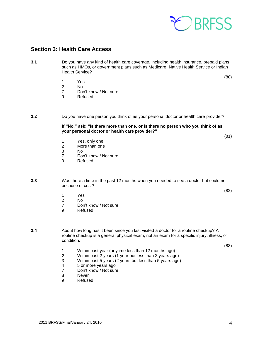

# <span id="page-3-0"></span>**Section 3: Health Care Access**

**3.1** Do you have any kind of health care coverage, including health insurance, prepaid plans such as HMOs, or government plans such as Medicare, Native Health Service or Indian Health Service?

 $(80)$ 

- 1 Yes
- 2 No
- 7 Don't know / Not sure<br>9 Refused
- **Refused**

#### **3.2** Do you have one person you think of as your personal doctor or health care provider?

**If "No," ask: "Is there more than one, or is there no person who you think of as your personal doctor or health care provider?"**

(82)

(81)

- 1 Yes, only one<br>2 More than one
- More than one
- 3 No
- Don't know / Not sure
- 9 Refused

**3.3** Was there a time in the past 12 months when you needed to see a doctor but could not because of cost?

- 1 Yes
- 2 No
- 7 Don't know / Not sure
- 9 Refused

**3.4** About how long has it been since you last visited a doctor for a routine checkup? A routine checkup is a general physical exam, not an exam for a specific injury, illness, or condition.

 $(83)$ 

- 1 Within past year (anytime less than 12 months ago)
- 2 Within past 2 years (1 year but less than 2 years ago)
- Within past 5 years (2 years but less than 5 years ago)
- 4 5 or more years ago<br>7 Don't know / Not sure
- Don't know / Not sure
- 8 Never
- 9 Refused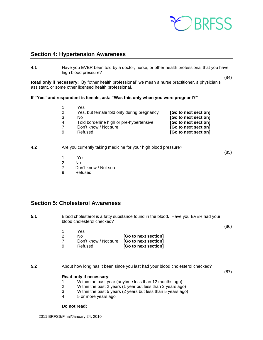

# <span id="page-4-0"></span>**Section 4: Hypertension Awareness**

**4.1** Have you EVER been told by a doctor, nurse, or other health professional that you have high blood pressure?

**Read only if necessary:** By "other health professional" we mean a nurse practitioner, a physician's assistant, or some other licensed health professional.

**If "Yes" and respondent is female, ask: "Was this only when you were pregnant?"**

|                      | Yes                                        |   |
|----------------------|--------------------------------------------|---|
| [Go to next section] | Yes, but female told only during pregnancy |   |
| [Go to next section] | Nο                                         | 3 |
| [Go to next section] | Told borderline high or pre-hypertensive   | 4 |
| [Go to next section] | Don't know / Not sure                      |   |
| [Go to next section] | Refused                                    | 9 |

#### **4.2** Are you currently taking medicine for your high blood pressure?

(85)

(84)

- 1 Yes
- 2 No<br>7 Dor Don't know / Not sure
- 9 Refused

# <span id="page-4-1"></span>**Section 5: Cholesterol Awareness**

**5.1** Blood cholesterol is a fatty substance found in the blood. Have you EVER had your blood cholesterol checked?

(86)

|                      | Yes                                        |   |
|----------------------|--------------------------------------------|---|
| [Go to next section] | N٥                                         |   |
|                      | Don't know / Not sure [Go to next section] |   |
| [Go to next section] | Refused                                    | a |

**5.2** About how long has it been since you last had your blood cholesterol checked?

(87)

#### **Read only if necessary:**

- 1 Within the past year (anytime less than 12 months ago)
- 2 Within the past 2 years (1 year but less than 2 years ago)
- 3 Within the past 5 years (2 years but less than 5 years ago)
- 4 5 or more years ago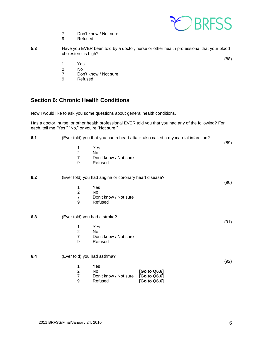

(88)

- 7 Don't know / Not sure<br>9 Refused
- **Refused**
- **5.3** Have you EVER been told by a doctor, nurse or other health professional that your blood cholesterol is high?
	- 1 Yes
	- 2 No<br>7 Dor
	- 7 Don't know / Not sure<br>9 Refused
	- **Refused**

# <span id="page-5-0"></span>**Section 6: Chronic Health Conditions**

Now I would like to ask you some questions about general health conditions.

Has a doctor, nurse, or other health professional EVER told you that you had any of the following? For each, tell me "Yes," "No," or you're "Not sure."

| 6.1 |                                                |                                                       | (Ever told) you that you had a heart attack also called a myocardial infarction? |      |
|-----|------------------------------------------------|-------------------------------------------------------|----------------------------------------------------------------------------------|------|
|     | 1<br>$\overline{2}$<br>$\overline{7}$<br>$9\,$ | Yes<br><b>No</b><br>Don't know / Not sure<br>Refused  |                                                                                  | (89) |
| 6.2 |                                                | (Ever told) you had angina or coronary heart disease? |                                                                                  | (90) |
|     | 1<br>$\overline{2}$<br>$\overline{7}$<br>9     | Yes<br>No<br>Don't know / Not sure<br>Refused         |                                                                                  |      |
| 6.3 | (Ever told) you had a stroke?                  |                                                       |                                                                                  | (91) |
|     | 1<br>$\boldsymbol{2}$<br>$\overline{7}$<br>9   | Yes<br>No<br>Don't know / Not sure<br>Refused         |                                                                                  |      |
| 6.4 | (Ever told) you had asthma?                    |                                                       |                                                                                  |      |
|     | 1<br>$\sqrt{2}$<br>$\overline{7}$<br>9         | Yes<br>No<br>Don't know / Not sure<br>Refused         | [Go to Q6.6]<br>[Go to Q6.6]<br>[Go to Q6.6]                                     | (92) |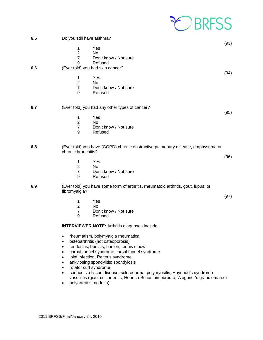

| 6.5 | Do you still have asthma?                                                                                                                                                                                                                                                                                                                                                                                                                                                                                                  |      |
|-----|----------------------------------------------------------------------------------------------------------------------------------------------------------------------------------------------------------------------------------------------------------------------------------------------------------------------------------------------------------------------------------------------------------------------------------------------------------------------------------------------------------------------------|------|
|     | Yes<br>1<br>$\overline{2}$<br>No<br>$\overline{7}$<br>Don't know / Not sure<br>9<br>Refused                                                                                                                                                                                                                                                                                                                                                                                                                                | (93) |
| 6.6 | (Ever told) you had skin cancer?<br>Yes<br>1<br>$\overline{c}$<br>No<br>$\overline{7}$<br>Don't know / Not sure<br>9<br>Refused                                                                                                                                                                                                                                                                                                                                                                                            | (94) |
| 6.7 | (Ever told) you had any other types of cancer?<br>Yes<br>1<br>$\boldsymbol{2}$<br>No<br>$\overline{7}$<br>Don't know / Not sure<br>9<br>Refused                                                                                                                                                                                                                                                                                                                                                                            | (95) |
| 6.8 | (Ever told) you have (COPD) chronic obstructive pulmonary disease, emphysema or<br>chronic bronchitis?<br>Yes<br>1<br>$\overline{2}$<br><b>No</b><br>$\overline{7}$<br>Don't know / Not sure<br>9<br>Refused                                                                                                                                                                                                                                                                                                               | (96) |
| 6.9 | (Ever told) you have some form of arthritis, rheumatoid arthritis, gout, lupus, or<br>fibromyalgia?<br>Yes<br>1<br>$\overline{c}$<br><b>No</b><br>$\overline{7}$<br>Don't know / Not sure<br>9<br>Refused                                                                                                                                                                                                                                                                                                                  | (97) |
|     | <b>INTERVIEWER NOTE: Arthritis diagnoses include:</b><br>rheumatism, polymyalgia rheumatica<br>$\bullet$<br>osteoarthritis (not osteoporosis)<br>$\bullet$<br>tendonitis, bursitis, bunion, tennis elbow<br>$\bullet$<br>carpal tunnel syndrome, tarsal tunnel syndrome<br>$\bullet$<br>joint infection, Reiter's syndrome<br>$\bullet$<br>ankylosing spondylitis; spondylosis<br>$\bullet$<br>rotator cuff syndrome<br>$\bullet$<br>connective tissue disease, scleroderma, polymyositis, Raynaud's syndrome<br>$\bullet$ |      |

vasculitis (giant cell arteritis, Henoch-Schonlein purpura, Wegener's granulomatosis,

• polyarteritis nodosa)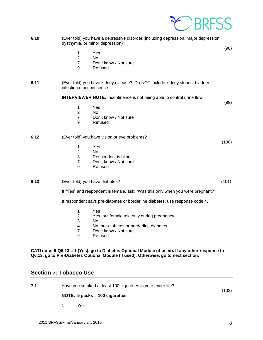

**6.10** (Ever told) you have a depressive disorder (including depression, major depression, dysthymia, or minor depression)?

(98)

- 1 Yes
- 2 No
- 7 Don't know / Not sure
- 9 Refused
- **6.11** (Ever told) you have kidney disease? Do NOT include kidney stones, bladder infection or incontinence.

**INTERVIEWER NOTE:** Incontinence is not being able to control urine flow.

(99)

(100)

- 1 Yes
- 2 No
- 7 Don't know / Not sure
- 9 Refused

#### **6.12** (Ever told) you have vision or eye problems?

- 1 Yes
- 2 No
- 3 Respondent is blind
- 7 Don't know / Not sure
- 9 Refused

#### **6.13** (Ever told) you have diabetes? (101)

If "Yes" and respondent is female, ask: "Was this only when you were pregnant?"

If respondent says pre-diabetes or borderline diabetes, use response code 4.

- 1 Yes
- 2 Yes, but female told only during pregnancy
- 3 No
- 4 No, pre-diabetes or borderline diabetes
- 7 Don't know / Not sure
- 9 Refused

**CATI note: If Q6.13 = 1 (Yes), go to Diabetes Optional Module (if used). If any other response to Q6.13, go to Pre-Diabetes Optional Module (if used). Otherwise, go to next section.**

# <span id="page-7-0"></span>**Section 7: Tobacco Use**

**7.1** Have you smoked at least 100 cigarettes in your entire life? (102)

#### **NOTE: 5 packs = 100 cigarettes**

1 Yes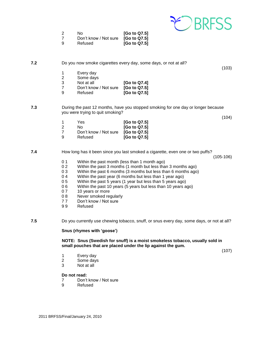

| -2  | N٥                    | [Go to Q7.5] |
|-----|-----------------------|--------------|
|     | Don't know / Not sure | [Go to Q7.5] |
| - 9 | Refused               | [Go to Q7.5] |

**7.2** Do you now smoke cigarettes every day, some days, or not at all?

- 
- 1 Every day<br>2 Some days 2 Some days<br>3 Not at all
- 
- 7 Don't know / Not sure **[Go to Q7.5]**
- 9 Refused **[Go to Q7.5]**

**7.3** During the past 12 months, have you stopped smoking for one day or longer because you were trying to quit smoking?

**[Go to Q7.4]** 

(104)

(103)

| -1 | Yes                   | [Go to Q7.5] |
|----|-----------------------|--------------|
| 2  | N٥                    | [Go to Q7.5] |
| 7  | Don't know / Not sure | [Go to Q7.5] |
| 9  | Refused               | [Go to Q7.5] |

**7.4** How long has it been since you last smoked a cigarette, even one or two puffs?

(105-106)

- 0 1 Within the past month (less than 1 month ago)
- 0 2 Within the past 3 months (1 month but less than 3 months ago)
- 0 3 Within the past 6 months (3 months but less than 6 months ago)
- 0 4 Within the past year (6 months but less than 1 year ago)
- 0 5 Within the past 5 years (1 year but less than 5 years ago)
- 0 6 Within the past 10 years (5 years but less than 10 years ago)
- 0 7 10 years or more
- 0 8 Never smoked regularly
- 77 Don't know / Not sure
- 9 9 Refused

**7.5** Do you currently use chewing tobacco, snuff, or snus every day, some days, or not at all?

#### **Snus (rhymes with 'goose')**

**NOTE: Snus (Swedish for snuff) is a moist smokeless tobacco, usually sold in small pouches that are placed under the lip against the gum.**

(107)

- 1 Every day
- 2 Some days
- 3 Not at all

- 7 Don't know / Not sure
- 9 Refused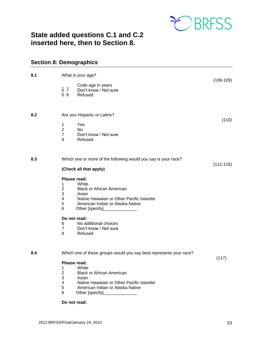

# <span id="page-9-0"></span>**State added questions C.1 and C.2 inserted here, then to Section 8.**

# <span id="page-9-1"></span>**Section 8: Demographics**

| 8.1 | What is your age?                                                                                  |               |
|-----|----------------------------------------------------------------------------------------------------|---------------|
|     | Code age in years<br>$\overline{0}$ $\overline{7}$<br>Don't know / Not sure<br>09<br>Refused       | $(108-109)$   |
| 8.2 | Are you Hispanic or Latino?                                                                        | (110)         |
|     | Yes<br>1<br>$\overline{2}$<br><b>No</b><br>$\overline{7}$<br>Don't know / Not sure<br>9<br>Refused |               |
| 8.3 | Which one or more of the following would you say is your race?                                     | $(111 - 116)$ |
|     | (Check all that apply)                                                                             |               |
|     | Please read:                                                                                       |               |
|     | White<br>1<br>$\overline{2}$<br><b>Black or African American</b>                                   |               |
|     | 3<br>Asian                                                                                         |               |
|     | $\overline{\mathbf{4}}$<br>Native Hawaiian or Other Pacific Islander                               |               |
|     | 5<br>American Indian or Alaska Native<br>6<br>Other [specify]                                      |               |
|     | Do not read:                                                                                       |               |
|     | 8<br>No additional choices                                                                         |               |
|     | $\overline{7}$<br>Don't know / Not sure<br>9<br>Refused                                            |               |
| 8.4 | Which one of these groups would you say best represents your race?                                 |               |
|     | Please read:                                                                                       | (117)         |
|     | White<br>1                                                                                         |               |
|     | $\overline{c}$<br><b>Black or African American</b><br>3<br>Asian                                   |               |
|     | Native Hawaiian or Other Pacific Islander<br>4                                                     |               |
|     | 5<br>American Indian or Alaska Native                                                              |               |
|     | 6<br>Other [specify]                                                                               |               |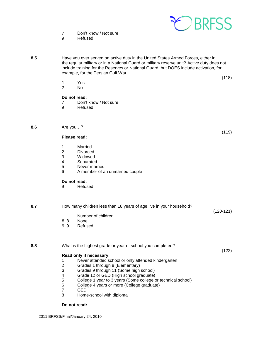

7 Don't know / Not sure

9 Refused

**8.5** Have you ever served on active duty in the United States Armed Forces, either in the regular military or in a National Guard or military reserve unit? Active duty does not include training for the Reserves or National Guard, but DOES include activation, for example, for the Persian Gulf War.

(118)

(119)

(122)

- 1 Yes<br>2 No
- N<sub>o</sub>

#### **Do not read:**

- 7 Don't know / Not sure
- 9 Refused

### **8.6** Are you…?

#### **Please read:**

- 1 Married<br>2 Divorce
- **Divorced**
- 3 Widowed<br>4 Separated
- **Separated**
- 5 Never married
- 6 A member of an unmarried couple

#### **Do not read:**

9 Refused

**8.7** How many children less than 18 years of age live in your household? (120-121)  $\frac{1}{8}$   $\frac{1}{8}$  Number of children None 9 9 Refused

**8.8** What is the highest grade or year of school you completed?

#### **Read only if necessary:**

- 1 Never attended school or only attended kindergarten
- 2 Grades 1 through 8 (Elementary)<br>3 Grades 9 through 11 (Some high
- 3 Grades 9 through 11 (Some high school)
- 4 Grade 12 or GED (High school graduate)
- 5 College 1 year to 3 years (Some college or technical school)
- 6 College 4 years or more (College graduate)
- 7 GED
- 8 Home-school with diploma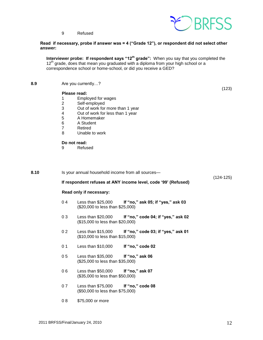

(123)

9 Refused

#### **Read if necessary, probe if answer was = 4 ("Grade 12"), or respondent did not select other answer:**

**Interviewer probe: If respondent says "12<sup>th</sup> grade":** When you say that you completed the 12<sup>th</sup> grade, does that mean you graduated with a diploma from your high school or a correspondence school or home-school, or did you receive a GED?

**8.9** Are you currently…?

#### **Please read:**

- 1 Employed for wages
- 2 Self-employed<br>3 Out of work for
- 3 Out of work for more than 1 year<br>4 Out of work for less than 1 year
- Out of work for less than 1 year
- 5 A Homemaker<br>6 A Student
- 6 A Student
- 7 Retired
- 8 Unable to work

#### **Do not read:**

9 Refused

| 8.10 |    | Is your annual household income from all sources-                       |                                                                |             |
|------|----|-------------------------------------------------------------------------|----------------------------------------------------------------|-------------|
|      |    |                                                                         | If respondent refuses at ANY income level, code '99' (Refused) | $(124-125)$ |
|      |    | Read only if necessary:                                                 |                                                                |             |
|      | 04 | (\$20,000 to less than \$25,000)                                        | Less than \$25,000 If "no," ask 05; if "yes," ask 03           |             |
|      | 03 | Less than $$20,000$<br>(\$15,000 to less than \$20,000)                 | If "no," code 04; if "yes," ask 02                             |             |
|      | 02 | (\$10,000 to less than \$15,000)                                        | Less than \$15,000 If "no," code 03; if "yes," ask 01          |             |
|      | 01 | Less than \$10,000                                                      | If "no," code 02                                               |             |
|      | 05 | Less than $$35,000$ If "no," ask 06<br>(\$25,000 to less than \$35,000) |                                                                |             |
|      | 06 | Less than \$50,000 If "no," ask 07<br>(\$35,000 to less than \$50,000)  |                                                                |             |
|      | 07 | Less than $$75,000$<br>(\$50,000 to less than \$75,000)                 | If "no," code 08                                               |             |
|      |    |                                                                         |                                                                |             |

0 8 \$75,000 or more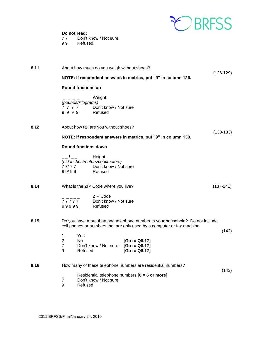

**Do not read:**<br>77 Don't 77 Don't know / Not sure<br>99 Refused

**Refused** 

| 8.11 |                                            |                             | About how much do you weigh without shoes?                                      |                                                                                                                                                         |             |
|------|--------------------------------------------|-----------------------------|---------------------------------------------------------------------------------|---------------------------------------------------------------------------------------------------------------------------------------------------------|-------------|
|      |                                            |                             |                                                                                 | NOTE: If respondent answers in metrics, put "9" in column 126.                                                                                          | $(126-129)$ |
|      |                                            | <b>Round fractions up</b>   |                                                                                 |                                                                                                                                                         |             |
|      | 7777<br>9999                               | (pounds/kilograms)          | Weight<br>Don't know / Not sure<br>Refused                                      |                                                                                                                                                         |             |
| 8.12 |                                            |                             | About how tall are you without shoes?                                           |                                                                                                                                                         |             |
|      |                                            |                             |                                                                                 | NOTE: If respondent answers in metrics, put "9" in column 130.                                                                                          | $(130-133)$ |
|      |                                            | <b>Round fractions down</b> |                                                                                 |                                                                                                                                                         |             |
|      | $-1$ $-$<br>77/77<br>99/99                 |                             | Height<br>(f t / inches/meters/centimeters)<br>Don't know / Not sure<br>Refused |                                                                                                                                                         |             |
| 8.14 |                                            |                             | What is the ZIP Code where you live?                                            |                                                                                                                                                         | $(137-141)$ |
|      | 77777<br>99999                             |                             | <b>ZIP Code</b><br>Don't know / Not sure<br>Refused                             |                                                                                                                                                         |             |
| 8.15 |                                            |                             |                                                                                 | Do you have more than one telephone number in your household? Do not include<br>cell phones or numbers that are only used by a computer or fax machine. | (142)       |
|      | 1<br>$\overline{2}$<br>$\overline{7}$<br>9 | Yes<br>No.<br>Refused       | Don't know / Not sure                                                           | [Go to Q8.17]<br>[Go to Q8.17]<br>[Go to Q8.17]                                                                                                         |             |
| 8.16 |                                            |                             |                                                                                 | How many of these telephone numbers are residential numbers?                                                                                            |             |
|      | $\overline{7}$<br>9                        | Refused                     | Don't know / Not sure                                                           | Residential telephone numbers [6 = 6 or more]                                                                                                           | (143)       |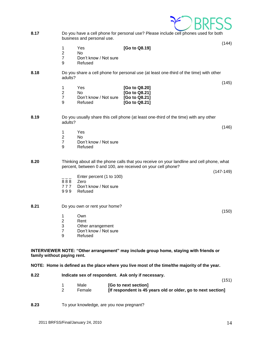

- **8.17** Do you have a cell phone for personal use? Please include cell phones used for both business and personal use.
	- 1 Yes **[Go to Q8.19]**
	- 2 No
	- 7 Don't know / Not sure
	- 9 Refused
- **8.18** Do you share a cell phone for personal use (at least one-third of the time) with other adults?

|    | Yes.                  | [Go to Q8.20] |
|----|-----------------------|---------------|
| -2 | No.                   | [Go to Q8.21] |
|    | Don't know / Not sure | [Go to Q8.21] |
| -9 | Refused               | [Go to Q8.21] |

#### **8.19** Do you usually share this cell phone (at least one-third of the time) with any other adults?

- 1 Yes<br>2 No
- No.
- 7 Don't know / Not sure<br>9 Refused
	- **Refused**

#### **8.20** Thinking about all the phone calls that you receive on your landline and cell phone, what percent, between 0 and 100, are received on your cell phone?

(147-149)

(150)

(144)

(145)

(146)

- Enter percent (1 to 100)
- 8 8 8 Zero
- 7 7 7 Don't know / Not sure
- 999 Refused

#### **8.21** Do you own or rent your home?

- 1 Own
- 2 Rent
- 3 Other arrangement
- 7 Don't know / Not sure
- 9 Refused

#### **INTERVIEWER NOTE: "Other arrangement" may include group home, staying with friends or family without paying rent.**

**NOTE: Home is defined as the place where you live most of the time/the majority of the year.** 

| 8.22 | Indicate sex of respondent. Ask only if necessary. |                |                                                                                               |  |  |
|------|----------------------------------------------------|----------------|-----------------------------------------------------------------------------------------------|--|--|
|      |                                                    | Male<br>Female | (151)<br>[Go to next section]<br>[If respondent is 45 years old or older, go to next section] |  |  |

**8.23** To your knowledge, are you now pregnant?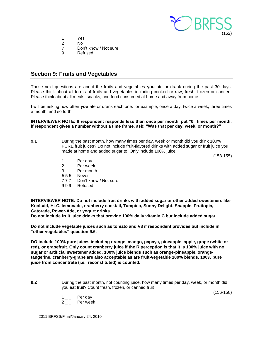

- 1 Yes
- 2 No
- 7 Don't know / Not sure
- 9 Refused

# <span id="page-14-0"></span>**Section 9: Fruits and Vegetables**

These next questions are about the fruits and vegetables **you** ate or drank during the past 30 days. Please think about all forms of fruits and vegetables including cooked or raw, fresh, frozen or canned. Please think about all meals, snacks, and food consumed at home and away from home.

I will be asking how often **you** ate or drank each one: for example, once a day, twice a week, three times a month, and so forth.

**INTERVIEWER NOTE: If respondent responds less than once per month, put "0" times per month. If respondent gives a number without a time frame, ask: "Was that per day, week, or month?"**

**9.1** During the past month, how many times per day, week or month did you drink 100% PURE fruit juices? Do not include fruit-flavored drinks with added sugar or fruit juice you made at home and added sugar to. Only include 100% juice.

(153-155)

- 
- $1 \quad \quad \text{Per day}$ <br> $2 \quad \quad \text{Per week}$  $2_{--}$  Per week<br>3 Per month
- Per month
- 5 5 5 Never
- 7 7 7 Don't know / Not sure
- 9 9 9 Refused

**INTERVIEWER NOTE: Do not include fruit drinks with added sugar or other added sweeteners like Kool-aid, Hi-C, lemonade, cranberry cocktail, Tampico, Sunny Delight, Snapple, Fruitopia, Gatorade, Power-Ade, or yogurt drinks.** 

**Do not include fruit juice drinks that provide 100% daily vitamin C but include added sugar.**

**Do not include vegetable juices such as tomato and V8 if respondent provides but include in "other vegetables" question 9.6.** 

**DO include 100% pure juices including orange, mango, papaya, pineapple, apple, grape (white or red), or grapefruit. Only count cranberry juice if the R perception is that it is 100% juice with no sugar or artificial sweetener added. 100% juice blends such as orange-pineapple, orangetangerine, cranberry-grape are also acceptable as are fruit-vegetable 100% blends. 100% pure juice from concentrate (i.e., reconstituted) is counted.** 

**9.2** During the past month, not counting juice, how many times per day, week, or month did you eat fruit? Count fresh, frozen, or canned fruit

(156-158)

 $1_{--}$  Per day  $2 \quad -$  Per week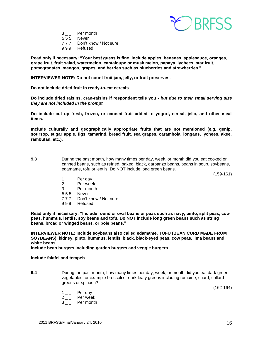

- $3 \quad \quad$  Per month
- 555 Never<br>777 Don't k
- Don't know / Not sure
- 9 9 9 Refused

**Read only if necessary: "Your best guess is fine. Include apples, bananas, applesauce, oranges, grape fruit, fruit salad, watermelon, cantaloupe or musk melon, papaya, lychees, star fruit, pomegranates, mangos, grapes, and berries such as blueberries and strawberries."**

**INTERVIEWER NOTE: Do not count fruit jam, jelly, or fruit preserves.** 

**Do not include dried fruit in ready-to-eat cereals.** 

**Do include dried raisins, cran-raisins if respondent tells you -** *but due to their small serving size they are not included in the prompt.* 

**Do include cut up fresh, frozen, or canned fruit added to yogurt, cereal, jello, and other meal items.** 

**Include culturally and geographically appropriate fruits that are not mentioned (e.g. genip, soursop, sugar apple, figs, tamarind, bread fruit, sea grapes, carambola, longans, lychees, akee, rambutan, etc.).** 

**9.3** During the past month, how many times per day, week, or month did you eat cooked or canned beans, such as refried, baked, black, garbanzo beans, beans in soup, soybeans, edamame, tofu or lentils. Do NOT include long green beans.

(159-161)

- $1_{--}$  Per day
- $2 \quad \quad$  Per week<br>3
- Per month
- 5 5 5 Never
- 7 7 7 Don't know / Not sure
- 9 9 9 Refused

**Read only if necessary: "Include round or oval beans or peas such as navy, pinto, split peas, cow peas, hummus, lentils, soy beans and tofu. Do NOT include long green beans such as string beans, broad or winged beans, or pole beans."**

**INTERVIEWER NOTE: Include soybeans also called edamame, TOFU (BEAN CURD MADE FROM SOYBEANS), kidney, pinto, hummus, lentils, black, black-eyed peas, cow peas, lima beans and white beans.** 

**Include bean burgers including garden burgers and veggie burgers.** 

**Include falafel and tempeh.** 

**9.4** During the past month, how many times per day, week, or month did you eat dark green vegetables for example broccoli or dark leafy greens including romaine, chard, collard greens or spinach?

(162-164)

- $1_{--}$  Per day
- $2_{--}$  Per week
- $3_{--}$  Per month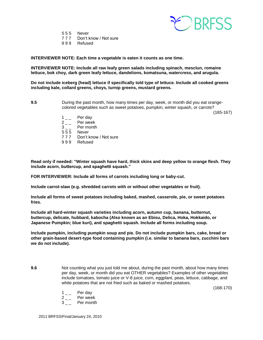

5 5 5 Never 7 7 7 Don't know / Not sure

9 9 9 Refused

**INTERVIEWER NOTE: Each time a vegetable is eaten it counts as one time.**

**INTERVIEWER NOTE: Include all raw leafy green salads including spinach, mesclun, romaine lettuce, bok choy, dark green leafy lettuce, dandelions, komatsuna, watercress, and arugula.**

**Do not include iceberg (head) lettuce if specifically told type of lettuce. Include all cooked greens including kale, collard greens, choys, turnip greens, mustard greens.** 

**9.5** During the past month, how many times per day, week, or month did you eat orangecolored vegetables such as sweet potatoes, pumpkin, winter squash, or carrots?

(165-167)

- $1\degree$  Per day
- $2_{--}$  Per week
- 3 \_ \_ Per month
- 5 5 5 Never
- 7 7 7 Don't know / Not sure
- 9 9 9 Refused

**Read only if needed: "Winter squash have hard, thick skins and deep yellow to orange flesh. They include acorn, buttercup, and spaghetti squash."**

**FOR INTERVIEWER: Include all forms of carrots including long or baby-cut.**

**Include carrot-slaw (e.g. shredded carrots with or without other vegetables or fruit).**

**Include all forms of sweet potatoes including baked, mashed, casserole, pie, or sweet potatoes fries.** 

**Include all hard-winter squash varieties including acorn, autumn cup, banana, butternut, buttercup, delicate, hubbard, kabocha (Also known as an Ebisu, Delica, Hoka, Hokkaido, or Japanese Pumpkin; blue kuri), and spaghetti squash. Include all forms including soup.**

**Include pumpkin, including pumpkin soup and pie. Do not include pumpkin bars, cake, bread or other grain-based desert-type food containing pumpkin (i.e. similar to banana bars, zucchini bars we do not include).**

- **9.6** Not counting what you just told me about, during the past month, about how many times per day, week, or month did you eat OTHER vegetables? Examples of other vegetables include tomatoes, tomato juice or V-8 juice, corn, eggplant, peas, lettuce, cabbage, and white potatoes that are not fried such as baked or mashed potatoes.
	- (168-170)

- $1_{--}$  Per day
- $2 \quad -$  Per week
- 3 Per month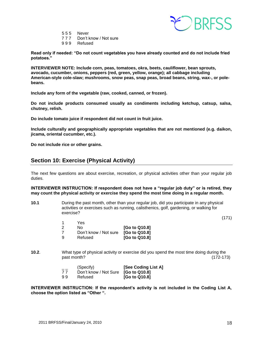

- 5 5 5 Never
- 7 7 7 Don't know / Not sure
- 9 9 9 Refused

**Read only if needed: "Do not count vegetables you have already counted and do not include fried potatoes."**

**INTERVIEWER NOTE: Include corn, peas, tomatoes, okra, beets, cauliflower, bean sprouts, avocado, cucumber, onions, peppers (red, green, yellow, orange); all cabbage including American-style cole-slaw; mushrooms, snow peas, snap peas, broad beans, string, wax-, or polebeans.** 

**Include any form of the vegetable (raw, cooked, canned, or frozen).** 

**Do not include products consumed usually as condiments including ketchup, catsup, salsa, chutney, relish.** 

**Do include tomato juice if respondent did not count in fruit juice.** 

**Include culturally and geographically appropriate vegetables that are not mentioned (e.g. daikon, jicama, oriental cucumber, etc.).** 

**Do not include rice or other grains.**

# <span id="page-17-0"></span>**Section 10: Exercise (Physical Activity)**

The next few questions are about exercise, recreation, or physical activities other than your regular job duties.

**INTERVIEWER INSTRUCTION: If respondent does not have a "regular job duty" or is retired, they may count the physical activity or exercise they spend the most time doing in a regular month.** 

**10.1** During the past month, other than your regular job, did you participate in any physical activities or exercises such as running, calisthenics, golf, gardening, or walking for exercise?

(171)

|    | Yes                   |               |
|----|-----------------------|---------------|
| -2 | No.                   | [Go to Q10.8] |
|    | Don't know / Not sure | [Go to Q10.8] |
| -9 | Refused               | [Go to Q10.8] |

**10.2**. What type of physical activity or exercise did you spend the most time doing during the past month? (172-173)

| ___<br>77 | (Specify)<br>Don't know / Not Sure [Go to Q10.8] | [See Coding List A] |
|-----------|--------------------------------------------------|---------------------|
| 99        | Refused                                          | [Go to Q10.8]       |

**INTERVIEWER INSTRUCTION: If the respondent's activity is not included in the Coding List A, choose the option listed as "Other ".**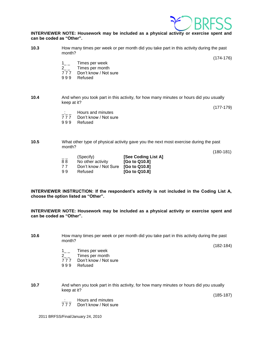

#### **INTERVIEWER NOTE: Housework may be included as a physical activity or exercise spent and can be coded as "Other".**

| 10.3 | How many times per week or per month did you take part in this activity during the past<br>month?     |             |  |
|------|-------------------------------------------------------------------------------------------------------|-------------|--|
|      | Times per week                                                                                        | $(174-176)$ |  |
|      | Times per month<br>$2^{\circ}$                                                                        |             |  |
|      | Don't know / Not sure<br>777                                                                          |             |  |
|      | 999<br>Refused                                                                                        |             |  |
| 10.4 | And when you took part in this activity, for how many minutes or hours did you usually<br>keep at it? |             |  |

(177-179)

- $\frac{1}{77}$  Hours and minutes<br>777 Don't know / Not su
- Don't know / Not sure
- 9 9 9 Refused

#### **10.5** What other type of physical activity gave you the next most exercise during the past month?

(180-181)

| $- -$<br>88 | (Specify)<br>No other activity | [See Coding List A]<br>[Go to Q10.8] |
|-------------|--------------------------------|--------------------------------------|
| 77          | Don't know / Not Sure          | [Go to Q10.8]                        |
| 99          | Refused                        | [Go to Q10.8]                        |

**INTERVIEWER INSTRUCTION: If the respondent's activity is not included in the Coding List A, choose the option listed as "Other".**

**INTERVIEWER NOTE: Housework may be included as a physical activity or exercise spent and can be coded as "Other".** 

**10.6** How many times per week or per month did you take part in this activity during the past month?

(182-184)

- $1_{--}$  Times per week<br>2  $_{-}$  Times per month
- 2\_ \_ Times per month
- Don't know / Not sure
- 9 9 9 Refused
- **10.7** And when you took part in this activity, for how many minutes or hours did you usually keep at it?

(185-187)

- Hours and minutes
- 7 7 7 Don't know / Not sure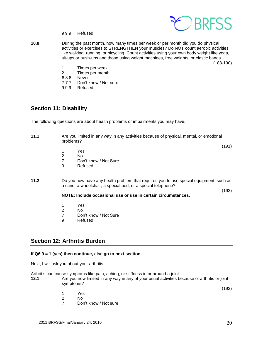

- 9 9 9 Refused
- **10.8** During the past month, how many times per week or per month did you do physical activities or exercises to STRENGTHEN your muscles? Do NOT count aerobic activities like walking, running, or bicycling. Count activities using your own body weight like yoga, sit-ups or push-ups and those using weight machines, free weights, or elastic bands.

(188-190)

- 1\_\_ Times per week<br>2 Times per month
- 2<sub>\_\_</sub> Times per month<br>888 Never
- **Never**
- 7 7 7 Don't know / Not sure
- 9 9 9 Refused

#### <span id="page-19-0"></span>**Section 11: Disability**

The following questions are about health problems or impairments you may have.

**11.1** Are you limited in any way in any activities because of physical, mental, or emotional problems?

(191)

(192)

- 1 Yes<br>2 No
- N<sub>o</sub>
- 7 Don't know / Not Sure
- 9 Refused
- **11.2** Do you now have any health problem that requires you to use special equipment, such as a cane, a wheelchair, a special bed, or a special telephone?

**NOTE: Include occasional use or use in certain circumstances.**

- 1 Yes
- 2 No<br>7 Dor
- Don't know / Not Sure
- 9 Refused

# <span id="page-19-1"></span>**Section 12: Arthritis Burden**

#### **If Q6.9 = 1 (yes) then continue, else go to next section.**

Next, I will ask you about your arthritis.

Arthritis can cause symptoms like pain, aching, or stiffness in or around a joint.

- **12.1** Are you now limited in any way in any of your usual activities because of arthritis or joint symptoms?
- (193) 1 Yes 2 No 7 Don't know / Not sure
	- $2011$  BRFSS/Final/January 24, 2010  $20$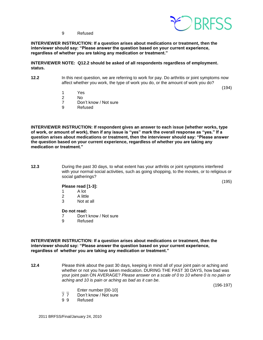

9 Refused

**INTERVIEWER INSTRUCTION: If a question arises about medications or treatment, then the interviewer should say: "Please answer the question based on your current experience, regardless of whether you are taking any medication or treatment."**

**INTERVIEWER NOTE: Q12.2 should be asked of all respondents regardless of employment. status.**

**12.2** In this next question, we are referring to work for pay. Do arthritis or joint symptoms now affect whether you work, the type of work you do, or the amount of work you do?

(194)

- 1 Yes
- 2 No
- 7 Don't know / Not sure
- 9 Refused

**INTERVIEWER INSTRUCTION: If respondent gives an answer to each issue (whether works, type of work, or amount of work), then if any issue is "yes" mark the overall response as "yes." If a question arises about medications or treatment, then the interviewer should say: "Please answer the question based on your current experience, regardless of whether you are taking any medication or treatment."**

**12.3** During the past 30 days, to what extent has your arthritis or joint symptoms interfered with your normal social activities, such as going shopping, to the movies, or to religious or social gatherings?

(195)

#### **Please read [1-3]:**

- 1 A lot
- 2 A little
- 3 Not at all

#### **Do not read:**

- 7 Don't know / Not sure
- 9 Refused

**INTERVIEWER INSTRUCTION: If a question arises about medications or treatment, then the interviewer should say: "Please answer the question based on your current experience, regardless of whether you are taking any medication or treatment."**

**12.4** Please think about the past 30 days, keeping in mind all of your joint pain or aching and whether or not you have taken medication. DURING THE PAST 30 DAYS, how bad was your joint pain ON AVERAGE? *Please answer on a scale of 0 to 10 where 0 is no pain or aching and 10 is pain or aching as bad as it can be*.

(196-197)

- $\frac{1}{7}$  Enter number  $[00-10]$ <br>  $\frac{1}{7}$  Don't know / Not sure
- 7 7 Don't know / Not sure<br>9 9 Refused
- **Refused**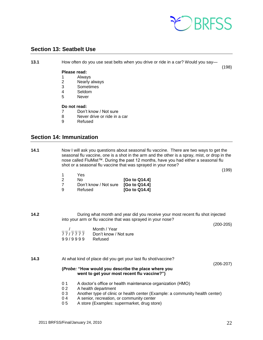

(198)

# <span id="page-21-0"></span>**Section 13: Seatbelt Use**

**13.1** How often do you use seat belts when you drive or ride in a car? Would you say—

#### **Please read:**

- 1 Always
- 2 Nearly always
- 3 Sometimes
- 4 Seldom<br>5 Never
- **Never**

#### **Do not read:**

- 7 Don't know / Not sure
- 8 Never drive or ride in a car
- 9 Refused

# <span id="page-21-1"></span>**Section 14: Immunization**

**14.1** Now I will ask you questions about seasonal flu vaccine. There are two ways to get the seasonal flu vaccine, one is a shot in the arm and the other is a spray, mist, or drop in the nose called FluMist™. During the past 12 months, have you had either a seasonal flu shot or a seasonal flu vaccine that was sprayed in your nose?

| -1 | Yes                   |               |
|----|-----------------------|---------------|
| 2  | N٥                    | [Go to Q14.4] |
| -7 | Don't know / Not sure | [Go to Q14.4] |
| ୍ର | Refused               | [Go to Q14.4] |

**14.2** During what month and year did you receive your most recent flu shot injected into your arm or flu vaccine that was sprayed in your nose?

(200-205)

(199)

|         | Month / Year          |
|---------|-----------------------|
| 77/7777 | Don't know / Not sure |
| 99/9999 | Refused               |

#### **14.3** At what kind of place did you get your last flu shot/vaccine?

(206-207)

#### **(***Probe:* **"How would you describe the place where you went to get your most recent flu vaccine?")**

- 0 1 A doctor's office or health maintenance organization (HMO)
- 0 2 A health department
- 0 3 Another type of clinic or health center (Example: a community health center)
- 0 4 A senior, recreation, or community center
- 0 5 A store (Examples: supermarket, drug store)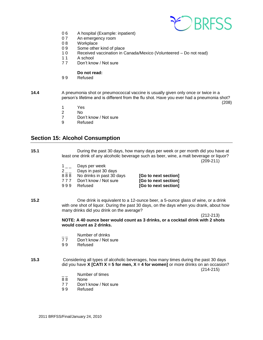

- 0 6 A hospital (Example: inpatient)<br>0 7 An emergency room
- An emergency room
- 0 8 Workplace<br>0 9 Some other
- Some other kind of place
- 1 0 Received vaccination in Canada/Mexico (Volunteered Do not read)
- 11 A school<br>77 Don't kno
- Don't know / Not sure

# **Do not read:**<br>99 Refused

- **Refused**
- **14.4** A pneumonia shot or pneumococcal vaccine is usually given only once or twice in a person's lifetime and is different from the flu shot. Have you ever had a pneumonia shot?

(208)

- 1 Yes
- 2 No
- 7 Don't know / Not sure<br>9 Refused
- **Refused**

# <span id="page-22-0"></span>**Section 15: Alcohol Consumption**

| 15.1 | During the past 30 days, how many days per week or per month did you have at<br>least one drink of any alcoholic beverage such as beer, wine, a malt beverage or liquor?                                                |                                                                                                                                                                                        | $(209-211)$                                                          |           |
|------|-------------------------------------------------------------------------------------------------------------------------------------------------------------------------------------------------------------------------|----------------------------------------------------------------------------------------------------------------------------------------------------------------------------------------|----------------------------------------------------------------------|-----------|
|      | $1\degree$<br>$2_{-}$<br>888<br>777<br>999                                                                                                                                                                              | Days per week<br>Days in past 30 days<br>No drinks in past 30 days<br>Don't know / Not sure<br>Refused                                                                                 | [Go to next section]<br>[Go to next section]<br>[Go to next section] |           |
| 15.2 | One drink is equivalent to a 12-ounce beer, a 5-ounce glass of wine, or a drink<br>with one shot of liquor. During the past 30 days, on the days when you drank, about how<br>many drinks did you drink on the average? |                                                                                                                                                                                        | $(212 - 213)$                                                        |           |
|      |                                                                                                                                                                                                                         | NOTE: A 40 ounce beer would count as 3 drinks, or a cocktail drink with 2 shots<br>would count as 2 drinks.                                                                            |                                                                      |           |
|      | 77<br>99                                                                                                                                                                                                                | Number of drinks<br>Don't know / Not sure<br>Refused                                                                                                                                   |                                                                      |           |
| 15.3 |                                                                                                                                                                                                                         | Considering all types of alcoholic beverages, how many times during the past 30 days<br>did you have <b>X</b> [CATI $X = 5$ for men, $X = 4$ for women] or more drinks on an occasion? |                                                                      | (214-215) |

- $\frac{1}{88}$  Number of times
- **None**
- 7 7 Don't know / Not sure
- 9 9 Refused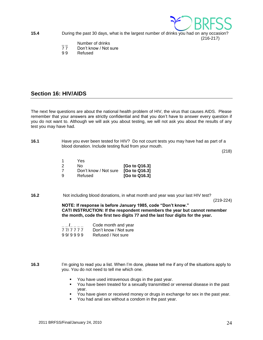

(216-217)

**15.4** During the past 30 days, what is the largest number of drinks you had on any occasion?

- <sup>-</sup>/<sub>2</sub> -// Number of drinks<br>T 7 Don't know / Not s
- Don't know / Not sure
- 9 9 Refused

# <span id="page-23-0"></span>**Section 16: HIV/AIDS**

The next few questions are about the national health problem of HIV, the virus that causes AIDS. Please remember that your answers are strictly confidential and that you don't have to answer every question if you do not want to. Although we will ask you about testing, we will not ask you about the results of any test you may have had.

**16.1** Have you ever been tested for HIV? Do not count tests you may have had as part of a blood donation. Include testing fluid from your mouth.

(218)

|    | Yes.                  |               |
|----|-----------------------|---------------|
| -2 | N٥                    | [Go to Q16.3] |
|    | Don't know / Not sure | [Go to Q16.3] |
| ്യ | Refused               | [Go to Q16.3] |

**16.2** Not including blood donations, in what month and year was your last HIV test?

(219-224)

**NOTE: If response is before January 1985, code "Don't know." CATI INSTRUCTION: If the respondent remembers the year but cannot remember the month, code the first two digits 77 and the last four digits for the year.** 

|         | Code month and year   |
|---------|-----------------------|
| 77/7777 | Don't know / Not sure |
| 99/9999 | Refused / Not sure    |

**16.3** I'm going to read you a list. When I'm done, please tell me if any of the situations apply to you. You do not need to tell me which one.

- You have used intravenous drugs in the past year.
- You have been treated for a sexually transmitted or venereal disease in the past year.
- You have given or received money or drugs in exchange for sex in the past year.
- You had anal sex without a condom in the past year.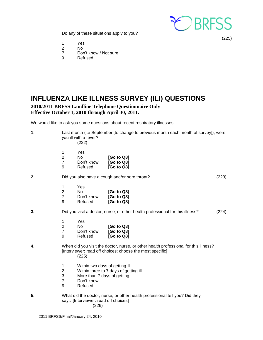

(225)

Do any of these situations apply to you?

- 1 Yes<br>2 No
- No.
- 7 Don't know / Not sure
- 9 Refused

<span id="page-24-0"></span>

# **2010/2011 BRFSS Landline Telephone Questionnaire Only Effective October 1, 2010 through April 30, 2011.**

We would like to ask you some questions about recent respiratory illnesses.

| $\mathbf 1$ . | Last month (i.e September [to change to previous month each month of survey]), were<br>you ill with a fever?<br>(222)                                                                |  |
|---------------|--------------------------------------------------------------------------------------------------------------------------------------------------------------------------------------|--|
|               | Yes<br>1<br>$\overline{2}$<br><b>No</b><br>[Go to Q8]<br>$\overline{7}$<br>Don't know<br>[Go to Q8]<br>9<br>Refused<br>[Go to Q8]                                                    |  |
| 2.            | Did you also have a cough and/or sore throat?<br>(223)                                                                                                                               |  |
|               | 1<br>Yes<br>$\overline{2}$<br><b>No</b><br>[Go to Q8]<br>$\overline{7}$<br>Don't know<br>[Go to Q8]<br>9<br>Refused<br>[Go to Q8]                                                    |  |
| 3.            | Did you visit a doctor, nurse, or other health professional for this illness?<br>(224)                                                                                               |  |
|               | $\mathbf{1}$<br>Yes<br>$\overline{c}$<br><b>No</b><br>[Go to Q8]<br>$\overline{7}$<br>Don't know<br>[Go to Q8]<br>9<br>Refused<br>[Go to Q8]                                         |  |
| 4.            | When did you visit the doctor, nurse, or other health professional for this illness?<br>[Interviewer: read off choices; choose the most specific]<br>(225)                           |  |
|               | $\mathbf{1}$<br>Within two days of getting ill<br>2<br>Within three to 7 days of getting ill<br>3<br>More than 7 days of getting ill<br>$\overline{7}$<br>Don't know<br>9<br>Refused |  |
| 5.            | What did the doctor, nurse, or other health professional tell you? Did they<br>say[Interviewer: read off choices]<br>(226)                                                           |  |
|               | 2011 PDECC/Final/January 24, 2010                                                                                                                                                    |  |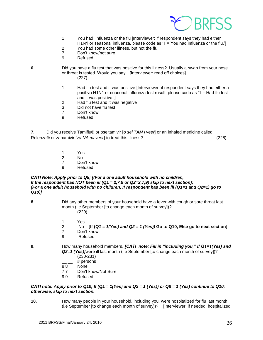

- 1 You had influenza or the flu [Interviewer: if respondent says they had either H1N1 or seasonal influenza, please code as '1 = You had influenza or the flu.']
- 2 You had some other illness, but not the flu
- 7 Don't know/not sure
- 9 Refused
- 
- **6.** Did you have a flu test that was positive for this illness? Usually a swab from your nose or throat is tested. Would you say…[Interviewer: read off choices] (227)
	- 1 Had flu test and it was positive [Interviewer: if respondent says they had either a positive H1N1 or seasonal influenza test result, please code as '1 = Had flu test and it was positive.']
	- 2 Had flu test and it was negative
	- 3 Did not have flu test
	- 7 Don't know
	- 9 Refused

**7.** Did you receive Tamiflu® or oseltamivir [*o sel TAM i veer*] or an inhaled medicine called Relenza® or zanamivir [*[za NA mi veer](javascript:playsound()*] to treat this illness? (228)

- 1 Yes
- 2 No
- 7 Don't know
- 9 Refused

#### *CATI Note: Apply prior to Q8; [(For a one adult household with no children, If the respondent has NOT been ill (Q1 = 2,7,9 or Q2=2,7,9) skip to next section); (For a one adult household with no children, If respondent has been ill (Q1=1 and Q2=1) go to Q10)]*

- **8.** Did any other members of your household have a fever with cough or sore throat last month (i.e September [to change each month of survey])? (229)
	- 1 Yes
	- 2 No **[If (***Q1 = 1(Yes) and Q2 = 1 (Yes))* **Go to Q10, Else go to next section]**
	- 7 Don't know
	- 9 Refused

**9.** How many household members, *[CATI note: Fill in "including you," If Q1=1(Yes) and Q2=1 (Yes)]*were ill last month (i.e September [to change each month of survey])? (230-231)

- # persons
- 8 8 None
- 7 7 Don't know/Not Sure
- 9 9 Refused

#### *CATI note: Apply prior to Q10; If (Q1 = 1(Yes) and Q2 = 1 (Yes)) or Q8 = 1 (Yes) continue to Q10; otherwise, skip to next section.*

**10.** How many people in your household, including you, were hospitalized for flu last month (i.e September [to change each month of survey])? [Interviewer, if needed: hospitalized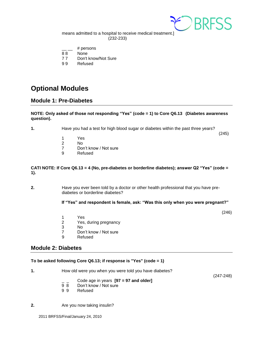

means admitted to a hospital to receive medical treatment.] (232-233)

- # persons
- 88 None
- 7 7 Don't know/Not Sure
- 9 9 Refused

# <span id="page-26-0"></span>**Optional Modules**

# <span id="page-26-1"></span>**Module 1: Pre-Diabetes**

#### **NOTE: Only asked of those not responding "Yes" (code = 1) to Core Q6.13 (Diabetes awareness question).**

**1.** Have you had a test for high blood sugar or diabetes within the past three years?

 $(245)$ 

- 1 Yes
- 2 No
- 7 Don't know / Not sure
- 9 Refused

#### **CATI NOTE: If Core Q6.13 = 4 (No, pre-diabetes or borderline diabetes); answer Q2 "Yes" (code = 1).**

**2.** Have you ever been told by a doctor or other health professional that you have prediabetes or borderline diabetes?

#### **If "Yes" and respondent is female, ask: "Was this only when you were pregnant?"**

(246)

- 1 Yes
- 2 Yes, during pregnancy<br>3 No
- No.
- 7 Don't know / Not sure
- 9 Refused

## <span id="page-26-2"></span>**Module 2: Diabetes**

#### **To be asked following Core Q6.13; if response is "Yes" (code = 1)**

| How old were you when you were told you have diabetes? |  |
|--------------------------------------------------------|--|
| Code age in years $[97 = 97$ and older]                |  |

- 9 8 Don't know / Not sure<br>9 9 Refused
- **Refused**

**2.** Are you now taking insulin?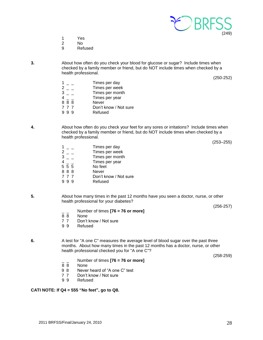

- 1 Yes
- 2 No
- 9 Refused

**3.** About how often do you check your blood for glucose or sugar? Include times when checked by a family member or friend, but do NOT include times when checked by a health professional.

(250-252)

 $\begin{array}{ccc} 1 & - & \text{Times per day} \\ 2 & - & \text{Times per week} \end{array}$  $2 -$  Times per week<br> $3 -$  Times per mont  $3 -$  Times per month<br>  $4 -$  Times per year Times per year 8 8 8 Never 7 7 7 Don't know / Not sure 9 9 9 Refused

**4.** About how often do you check your feet for any sores or irritations? Include times when checked by a family member or friend, but do NOT include times when checked by a health professional.

(253–255)

- $\begin{array}{ccc} 1 & _- & _- \\ 2 & _- & _- \end{array}$  Times per day  $2 -$  Times per week<br> $3 -$  Times per month  $3 -$ <br>  $4 -$ <br>  $5 5 5$ <br>  $5 5$ <br>  $10$ <br>  $10$ <br>  $10$ <br>  $10$ <br>  $10$ <br>  $10$ <br>  $10$ <br>  $10$ <br>  $10$ <br>  $10$ <br>  $10$ <br>  $10$ <br>  $10$ <br>  $10$ <br>  $10$ <br>  $10$ <br>  $10$ <br>  $10$ <br>  $10$ <br>  $10$ <br>  $10$ <br>  $10$ <br>  $10$ <br>  $10$ <br>  $10$ <br>  $10$ <br>  $10$ <br>  $10$ <br>  $10$ <br>  $10$ <br>  $10$ <br>  $10$ Times per year No feet
- 
- 8 8 8 Never<br>7 7 7 Don't k Don't know / Not sure
- 9 9 9 Refused
- **5.** About how many times in the past 12 months have you seen a doctor, nurse, or other health professional for your diabetes?

(256-257)

- Number of times **[76 = 76 or more]**
- 8 8 None
- 7 7 Don't know / Not sure
- 9 9 Refused
- **6.** A test for "A one C" measures the average level of blood sugar over the past three months. About how many times in the past 12 months has a doctor, nurse, or other health professional checked you for "A one C"?

(258-259)

- $\frac{1}{8}$  Number of times **[76 = 76 or more]**<br> $\frac{1}{8}$  None
- None
- 9 8 Never heard of "A one C" test
- 7 7 Don't know / Not sure
- 9 9 Refused

#### **CATI NOTE: If Q4 = 555 "No feet", go to Q8.**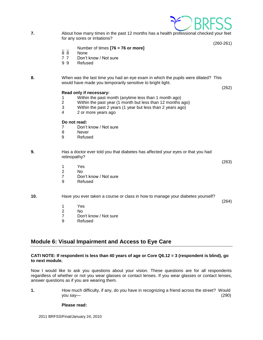

**7.** About how many times in the past 12 months has a health professional checked your feet for any sores or irritations?

(260-261)

- \_ \_ Number of times **[76 = 76 or more]**
- 8 8 None
- 7 7 Don't know / Not sure
- 9 9 Refused

**8.** When was the last time you had an eye exam in which the pupils were dilated? This would have made you temporarily sensitive to bright light.

(262)

#### **Read only if necessary:**

- 1 Within the past month (anytime less than 1 month ago)
- 2 Within the past year (1 month but less than 12 months ago)
- 3 Within the past 2 years (1 year but less than 2 years ago)
- 4 2 or more years ago

#### **Do not read:**

- 7 Don't know / Not sure
- 8 Never
- 9 Refused

#### **9.** Has a doctor ever told you that diabetes has affected your eyes or that you had retinopathy?

- (263) 1 Yes
	- 2 No
	- 7 Don't know / Not sure
	- 9 Refused

#### **10.** Have you ever taken a course or class in how to manage your diabetes yourself?

(264)

- 1 Yes
- 2 No
- 7 Don't know / Not sure
- 9 Refused

# <span id="page-28-0"></span>**Module 6: Visual Impairment and Access to Eye Care**

#### **CATI NOTE: If respondent is less than 40 years of age or Core Q6.12 = 3 (respondent is blind), go to next module.**

Now I would like to ask you questions about your vision. These questions are for all respondents regardless of whether or not you wear glasses or contact lenses. If you wear glasses or contact lenses, answer questions as if you are wearing them.

**1.** How much difficulty, if any, do you have in recognizing a friend across the street? Would you say— (290)

#### **Please read:**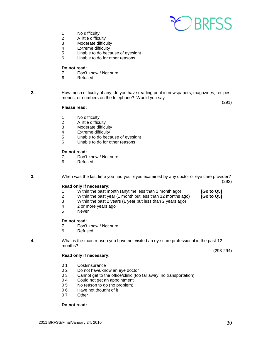

- 1 No difficulty
- 2 A little difficulty
- 3 Moderate difficulty<br>4 Extreme difficulty
- Extreme difficulty
- 5 Unable to do because of eyesight
- 6 Unable to do for other reasons

#### **Do not read:**

- 7 Don't know / Not sure<br>9 Refused
- **Refused**

**2.** How much difficulty, if any, do you have reading print in newspapers, magazines, recipes, menus, or numbers on the telephone? Would you say—

(291)

#### **Please read:**

- 1 No difficulty
- 2 A little difficulty
- 3 Moderate difficulty<br>4 Extreme difficulty
- 4 Extreme difficulty<br>5 Unable to do beca
- Unable to do because of eyesight
- 6 Unable to do for other reasons

#### **Do not read:**

- 7 Don't know / Not sure
- 9 Refused

**3.** When was the last time you had your eyes examined by any doctor or eye care provider? (292)

#### **Read only if necessary:**

- 1 Within the past month (anytime less than 1 month ago) **[Go to Q5]**
- 2 Within the past year (1 month but less than 12 months ago) **[Go to Q5]**
- 3 Within the past 2 years (1 year but less than 2 years ago)
- 4 2 or more years ago
- 5 Never

#### **Do not read:**

- 7 Don't know / Not sure
- 9 Refused

**4.** What is the main reason you have not visited an eye care professional in the past 12 months?

#### **Read only if necessary:**

- 0.1 Cost/insurance
- 0 2 Do not have/know an eye doctor
- 0 3 Cannot get to the office/clinic (too far away, no transportation)
- 0 4 Could not get an appointment
- 0 5 No reason to go (no problem)
- 06 Have not thought of it
- 0.7 Other

#### **Do not read:**

(293-294)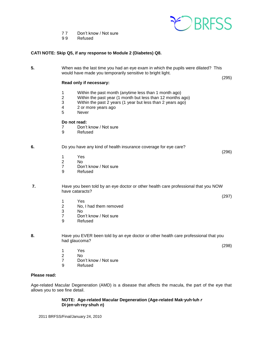

(297)

(298)

- 7 7 Don't know / Not sure
- 9 9 Refused

#### **CATI NOTE: Skip Q5, if any response to Module 2 (Diabetes) Q8.**

**5.** When was the last time you had an eye exam in which the pupils were dilated? This would have made you temporarily sensitive to bright light. (295) **Read only if necessary:** 1 Within the past month (anytime less than 1 month ago) 2 Within the past year (1 month but less than 12 months ago) 3 Within the past 2 years (1 year but less than 2 years ago) 4 2 or more years ago 5 Never **Do not read:** 7 Don't know / Not sure<br>9 Refused **Refused 6.** Do you have any kind of health insurance coverage for eye care? (296)

- 1 Yes No.
- 7 Don't know / Not sure
- 9 Refused

**7.** Have you been told by an eye doctor or other health care professional that you NOW have cataracts?

- 1 Yes<br>2 No.
- No. I had them removed
- 3 No
- 7 Don't know / Not sure
- 9 Refused
- **8.** Have you EVER been told by an eye doctor or other health care professional that you had glaucoma?
	- 1 Yes
	- 2 No
	- 7 Don't know / Not sure
	- 9 Refused

## **Please read:**

Age-related Macular Degeneration (AMD) is a disease that affects the macula, the part of the eye that allows you to see fine detail.

#### **NOTE: Age-related Macular Degeneration (Age-related Mak·yuh·luh** *r*  **Di·jen·uh·rey·shuh** *n***)**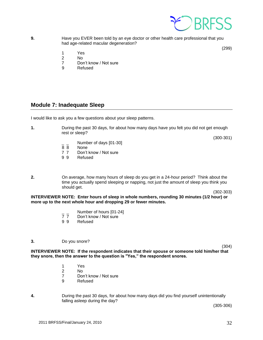

**9.** Have you EVER been told by an eye doctor or other health care professional that you had age-related macular degeneration?

(299)

- 1 Yes
- 2 No
- 7 Don't know / Not sure
- 9 Refused

# <span id="page-31-0"></span>**Module 7: Inadequate Sleep**

I would like to ask you a few questions about your sleep patterns.

**1.** During the past 30 days, for about how many days have you felt you did not get enough rest or sleep?

(300-301)

- $\frac{1}{8}$   $\frac{1}{8}$  Number of days [01-30]
- None
- 7 7 Don't know / Not sure
- 9 9 Refused
- **2.** On average, how many hours of sleep do you get in a 24-hour period? Think about the time you actually spend sleeping or napping, not just the amount of sleep you think you should get.

(302-303)

**INTERVIEWER NOTE: Enter hours of sleep in whole numbers, rounding 30 minutes (1/2 hour) or more up to the next whole hour and dropping 29 or fewer minutes.** 

- $\frac{1}{7}$   $\frac{1}{7}$  Number of hours [01-24]
- Don't know / Not sure
- 9 9 Refused

#### **3.** Do you snore?

(304)

**INTERVIEWER NOTE: If the respondent indicates that their spouse or someone told him/her that they snore, then the answer to the question is "Yes," the respondent snores.**

- 1 Yes
- 2 No
	- 7 Don't know / Not sure<br>9 Refused
		- **Refused**
- **4.** During the past 30 days, for about how many days did you find yourself unintentionally falling asleep during the day?

(305-306)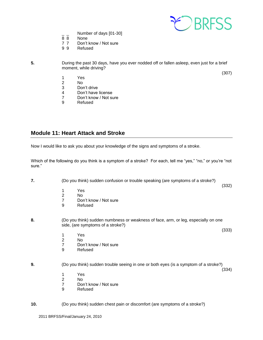

(307)

- $\frac{1}{8}$  Number of days [01-30]
- **None**
- 7 7 Don't know / Not sure
- 9 9 Refused
- 

**5.** During the past 30 days, have you ever nodded off or fallen asleep, even just for a brief moment, while driving?

- 1 Yes
- 2 No
	- 3 Don't drive
	- 4 Don't have license
	- 7 Don't know / Not sure
	- 9 Refused

# <span id="page-32-0"></span>**Module 11: Heart Attack and Stroke**

Now I would like to ask you about your knowledge of the signs and symptoms of a stroke.

Which of the following do you think is a symptom of a stroke? For each, tell me "yes," "no," or you're "not sure."

**7.** (Do you think) sudden confusion or trouble speaking (are symptoms of a stroke?)

- 1 Yes
- 2 No
- 7 Don't know / Not sure<br>9 Refused
- **Refused**
- **8.** (Do you think) sudden numbness or weakness of face, arm, or leg, especially on one side, (are symptoms of a stroke?)
	- 1 Yes
	- 2 No
	- 7 Don't know / Not sure
	- 9 Refused

**9.** (Do you think) sudden trouble seeing in one or both eyes (is a symptom of a stroke?)

(334)

(332)

(333)

- 1 Yes
- 2 No
- 7 Don't know / Not sure
- 9 Refused

**10.** (Do you think) sudden chest pain or discomfort (are symptoms of a stroke?)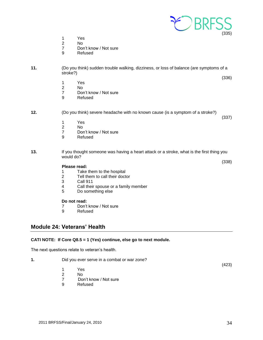

- 1 Yes<br>2 No
- 2 No<br>7 Dor
- Don't know / Not sure
- 9 Refused
- **11.** (Do you think) sudden trouble walking, dizziness, or loss of balance (are symptoms of a stroke?)
	- (336)

(337)

- 
- 1 Yes 2 No<br>7 Dor
- Don't know / Not sure
- 9 Refused
- **12.** (Do you think) severe headache with no known cause (is a symptom of a stroke?)
	- 1 Yes
	- 2 No
	- 7 Don't know / Not sure<br>9 Refused
	- **Refused**
- **13.** If you thought someone was having a heart attack or a stroke, what is the first thing you would do?

(338)  **Please read:**

- 
- 1 Take them to the hospital<br>2 Tell them to call their docte Tell them to call their doctor
- 3 Call 911
- 4 Call their spouse or a family member
- 5 Do something else

#### **Do not read:**

- 7 Don't know / Not sure
- 9 Refused

## <span id="page-33-0"></span>**Module 24: Veterans' Health**

#### **CATI NOTE: If Core Q8.5 = 1 (Yes) continue, else go to next module.**

The next questions relate to veteran's health.

| 1. | Did you ever serve in a combat or war zone? |                       |       |
|----|---------------------------------------------|-----------------------|-------|
|    |                                             |                       | (423) |
|    |                                             | Yes                   |       |
|    |                                             | No                    |       |
|    |                                             | Don't know / Not sure |       |

9 Refused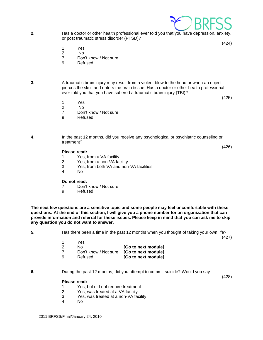

**2.** Has a doctor or other health professional ever told you that you have depression, anxiety, or post traumatic stress disorder (PTSD)?

(424)

- 1 Yes
- 2 No
- 7 Don't know / Not sure
- 9 Refused
- **3.** A traumatic brain injury may result from a violent blow to the head or when an object pierces the skull and enters the brain tissue. Has a doctor or other health professional ever told you that you have suffered a traumatic brain injury (TBI)?

(425)

(426)

- 1 Yes<br>2 No  $N<sub>0</sub>$
- 
- 7 Don't know / Not sure
- 9 Refused

**4**. In the past 12 months, did you receive any psychological or psychiatric counseling or treatment?

**Please read:** 

- 1 Yes, from a VA facility
- 2 Yes, from a non-VA facility
- 3 Yes, from both VA and non-VA facilities
- 4 No

#### **Do not read:**

- 7 Don't know / Not sure
- 9 Refused

**The next few questions are a sensitive topic and some people may feel uncomfortable with these questions. At the end of this section, I will give you a phone number for an organization that can provide information and referral for these issues. Please keep in mind that you can ask me to skip any question you do not want to answer.**

**5.** Has there been a time in the past 12 months when you thought of taking your own life?

(427)

|                     | Yes                   |     |
|---------------------|-----------------------|-----|
| [Go to next module] | Nο                    | - 2 |
| [Go to next module] | Don't know / Not sure |     |
| [Go to next module] | Refused               | - 9 |

**6.** During the past 12 months, did you attempt to commit suicide? Would you say---

(428)

#### **Please read:**

- 1 Yes, but did not require treatment
- 2 Yes, was treated at a VA facility
- 3 Yes, was treated at a non-VA facility
- 4 No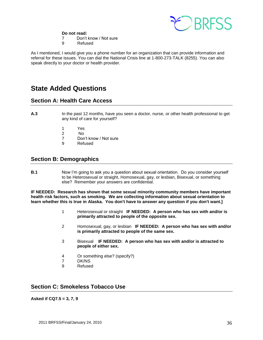

**Do not read:** 

- 7 Don't know / Not sure
- 9 Refused

As I mentioned, I would give you a phone number for an organization that can provide information and referral for these issues. You can dial the National Crisis line at 1-800-273-TALK (8255). You can also speak directly to your doctor or health provider.

# **State Added Questions**

# <span id="page-35-0"></span>**Section A: Health Care Access**

- **A.3** In the past 12 months, have you seen a doctor, nurse, or other health professional to get any kind of care for yourself?
	- 1 Yes<br>2 No
	- $N<sub>0</sub>$
	- 7 Don't know / Not sure
	- 9 Refused

# <span id="page-35-1"></span>**Section B: Demographics**

**B.1** Now I'm going to ask you a question about sexual orientation. Do you consider yourself to be Heterosexual or straight, Homosexual, gay, or lesbian, Bisexual, or something else? Remember your answers are confidential.

**IF NEEDED: Research has shown that some sexual minority community members have important health risk factors, such as smoking. We are collecting information about sexual orientation to learn whether this is true in Alaska. You don't have to answer any question if you don't want.]**

- 1 Heterosexual or straight **IF NEEDED: A person who has sex with and/or is primarily attracted to people of the opposite sex.**
- 2 Homosexual, gay, or lesbian **IF NEEDED: A person who has sex with and/or is primarily attracted to people of the same sex.**
- 3 Bisexual **IF NEEDED: A person who has sex with and/or is attracted to people of either sex.**
- 4 Or something else? (specify?)
- 7 DK/NS
- 9 Refused

# <span id="page-35-2"></span>**Section C: Smokeless Tobacco Use**

**Asked if CQ7.5 = 3, 7, 9**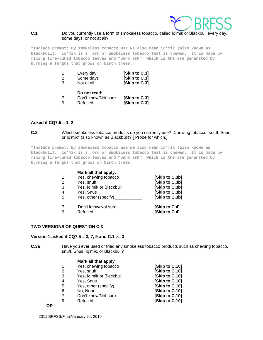

#### **C.1** Do you currently use a form of smokeless tobacco, called Iq'mik or Blackbull every day, some days, or not at all?

**\*Include prompt: By smokeless tobacco use we also mean iq'mik (also known as blackbull). Iq'mik is a form of smokeless tobacco that is chewed. It is made by mixing fire-cured tobacco leaves and "punk ash", which is the ash generated by burning a fungus that grows on birch trees.**

| 1 | Every day                                      | [Skip to C.3]                  |
|---|------------------------------------------------|--------------------------------|
| 2 | Some days                                      | [Skip to C.3]                  |
| 3 | Not at all                                     | [Skip to C.3]                  |
|   | Do not read:<br>Don't know/Not sure<br>Refused | [Skip to C.3]<br>[Skip to C.3] |

#### **Asked if CQ7.5 = 1, 2**

**C.2** Which smokeless tobacco products do you currently use? Chewing tobacco, snuff, Snus, or Iq'mik\* (also known as Blackbull)? [ Probe for which.]

**\*Include prompt: By smokeless tobacco use we also mean iq'mik (also known as blackbull). Iq'mik is a form of smokeless tobacco that is chewed. It is made by mixing fire-cured tobacco leaves and "punk ash", which is the ash generated by burning a fungus that grows on birch trees.**

|    | Mark all that apply.     |                |
|----|--------------------------|----------------|
|    | Yes, chewing tobacco     | [Skip to C.3b] |
| 2  | Yes, snuff               | [Skip to C.3b] |
| 3  | Yes, Iq'mik or Blackbull | [Skip to C.3b] |
| 4  | Yes, Snus                | [Skip to C.3b] |
| -5 | Yes, other (specify)     | [Skip to C.3b] |
|    | Don't know/Not sure      | [Skip to C.4]  |
|    | Refused                  | [Skip to C.4]  |

#### **TWO VERSIONS OF QUESTION C.3**

#### **Version 1 asked if CQ7.5 = 3, 7, 9 and C.1 >= 3**

**C.3a** Have you ever used or tried any smokeless tobacco products such as chewing tobacco, snuff, Snus, Iq'mik, or Blackbull?

#### **Mark all that apply**

|                | Yes, chewing tobacco     | [Skip to C.10] |
|----------------|--------------------------|----------------|
| 2              | Yes, snuff               | [Skip to C.10] |
| 3              | Yes, Iq'mik or Blackbull | [Skip to C.10] |
| $\overline{4}$ | Yes, Snus                | [Skip to C.10] |
| -5             | Yes, other (specify)     | [Skip to C.10] |
| 6              | No, None                 | [Skip to C.10] |
| 7              | Don't know/Not sure      | [Skip to C.10] |
| -9             | Refused                  | [Skip to C.10] |
|                |                          |                |

**OR**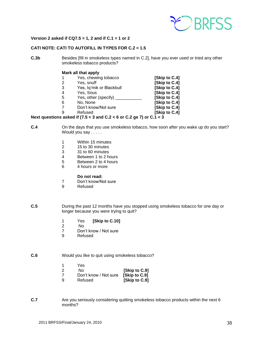

#### **Version 2 asked if CQ7.5 = 1, 2 and if C.1 = 1 or 2**

## **CATI NOTE: CATI TO AUTOFILL IN TYPES FOR C.2 = 1.5**

**C.3b** Besides [fill in smokeless types named in C.2], have you ever used or tried any other smokeless tobacco products?

#### **Mark all that apply**

|               | Yes, chewing tobacco       | [Skip to C.4] |
|---------------|----------------------------|---------------|
| $\mathcal{P}$ | Yes, snuff                 | [Skip to C.4] |
| 3             | Yes, Iq'mik or Blackbull   | [Skip to C.4] |
| 4             | Yes, Snus                  | [Skip to C.4] |
| 5             | Yes, other (specify) _____ | [Skip to C.4] |
| 6             | No, None                   | [Skip to C.4] |
|               | Don't know/Not sure        | [Skip to C.4] |
|               |                            |               |

9 Refused **[Skip to C.4]**

#### **Next questions asked if (7.5 < 3 and C.2 < 6 or C.2 ge 7) or C.1 < 3**

- **C.4** On the days that you use smokeless tobacco, how soon after you wake up do you start? Would you say . . . . .
	- 1 Within 15 minutes<br>2 15 to 30 minutes
	- 2 15 to 30 minutes<br>3 31 to 60 minutes
	- 31 to 60 minutes
	- 4 Between 1 to 2 hours<br>5 Between 2 to 4 hours
	- 5 Between 2 to 4 hours
	- 6 4 hours or more

#### **Do not read:**

- 7 Don't know/Not sure
- 9 Refused
- **C.5** During the past 12 months have you stopped using smokeless tobacco for one day or longer because you were trying to quit?
	- 1 Yes **[Skip to C.10]**
	- 2 No
	- 7 Don't know / Not sure
	- 9 Refused

#### **C.6** Would you like to quit using smokeless tobacco?

- 1 Yes
- 2 No **[Skip to C.9]** 7 Don't know / Not sure **[Skip to C.9]**
- 9 Refused **[Skip to C.9]**
- **C.7** Are you seriously considering quitting smokeless tobacco products within the next 6 months?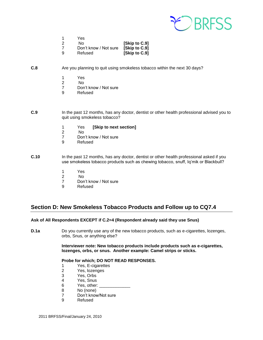

|    | Yes                   |               |
|----|-----------------------|---------------|
| 2  | N٥                    | [Skip to C.9] |
|    | Don't know / Not sure | [Skip to C.9] |
| -9 | Refused               | [Skip to C.9] |

#### **C.8** Are you planning to quit using smokeless tobacco within the next 30 days?

- 1 Yes
- 2 No
- 7 Don't know / Not sure<br>9 Refused
- **Refused**
- **C.9** In the past 12 months, has any doctor, dentist or other health professional advised you to quit using smokeless tobacco?
	- 1 Yes **[Skip to next section]**
	- N<sub>o</sub>
	- 7 Don't know / Not sure
	- 9 Refused
- **C.10** In the past 12 months, has any doctor, dentist or other health professional asked if you use smokeless tobacco products such as chewing tobacco, snuff, Iq'mik or Blackbull?
	- 1 Yes
	- 2 No
	- 7 Don't know / Not sure
	- 9 Refused

# <span id="page-38-0"></span>**Section D: New Smokeless Tobacco Products and Follow up to CQ7.4**

**Ask of All Respondents EXCEPT if C.2=4 (Respondent already said they use Snus)** 

**D.1a** Do you currently use any of the new tobacco products, such as e-cigarettes, lozenges, orbs, Snus, or anything else?

> **Interviewer note: New tobacco products include products such as e-cigarettes, lozenges, orbs, or snus. Another example: Camel strips or sticks.**

#### **Probe for which; DO NOT READ RESPONSES.**

- 1 Yes, E-cigarettes
- 2 Yes, lozenges
- 3 Yes, Orbs
- 4 Yes, Snus
- 6 Yes, other:
- 8 No (none)
- 7 Don't know/Not sure
- 9 Refused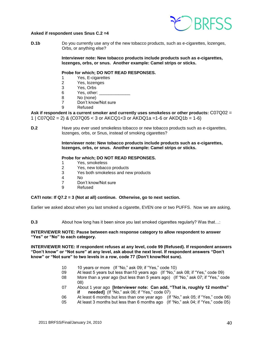

#### **Asked if respondent uses Snus C.2 =4**

**D.1b** Do you currently use any of the new tobacco products, such as e-cigarettes, lozenges, Orbs, or anything else?

> **Interviewer note: New tobacco products include products such as e-cigarettes, lozenges, orbs, or snus. Another example: Camel strips or sticks.**

#### **Probe for which; DO NOT READ RESPONSES.**

- 1 Yes, E-cigarettes
- 2 Yes, lozenges
- 3 Yes, Orbs
- 6 Yes, other:
- 8 No (none)
- 7 Don't know/Not sure
- 9 Refused

**Ask if respondent is a current smoker and currently uses smokeless or other products:** C07Q02 = 1 |  $CO7Q02 = 2$ ) &  $(C07Q05 < 3$  or  $AKCQ1 < 3$  or  $AKDQ1a = 1-6$  or  $AKDQ1b = 1-6$ 

**D.2** Have you ever used smokeless tobacco or new tobacco products such as e-cigarettes, lozenges, orbs, or Snus, instead of smoking cigarettes?

> **Interviewer note: New tobacco products include products such as e-cigarettes, lozenges, orbs, or snus. Another example: Camel strips or sticks.**

#### **Probe for which; DO NOT READ RESPONSES.**

- 1 Yes, smokeless
- 2 Yes, new tobacco products
- 3 Yes both smokeless and new products
- 4 No
- 7 Don't know/Not sure
- 9 Refused

#### **CATI note: If Q7.2 = 3 (Not at all) continue. Otherwise, go to next section.**

Earlier we asked about when you last smoked a cigarette, EVEN one or two PUFFS. Now we are asking,

**D.3** About how long has it been since you last smoked cigarettes regularly? Was that...:

#### **INTERVIEWER NOTE: Pause between each response category to allow respondent to answer "Yes" or "No" to each category.**

**INTERVIEWER NOTE: If respondent refuses at any level, code 99 (Refused). If respondent answers "Don't know" or "Not sure" at any level, ask about the next level. If respondent answers "Don't know" or "Not sure" to two levels in a row, code 77 (Don't know/Not sure).**

- 10 10 years or more (If "No," ask 09; if "Yes," code 10)
- 09 At least 5 years but less than10 years ago (If "No," ask 08; if "Yes," code 09)
- 08 More than a year ago (but less than 5 years ago) (If "No," ask 07; if "Yes," code 08)
- 07 About 1 year ago **[Interviewer note: Can add, "That is, roughly 12 months" if needed]** (If "No," ask 06; if "Yes," code 07)
- 06 At least 6 months but less than one year ago (If "No," ask 05; if "Yes," code 06)
- 05 At least 3 months but less than 6 months ago (If "No," ask 04; if "Yes," code 05)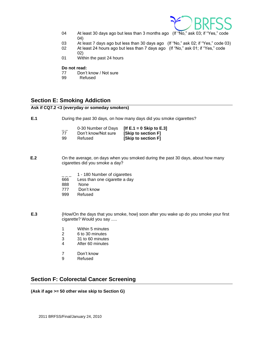

- 04 At least 30 days ago but less than 3 months ago (If "No," ask 03; if "Yes," code 04)
- 03 At least 7 days ago but less than 30 days ago (If "No," ask 02; if "Yes," code 03)
- 02 At least 24 hours ago but less than 7 days ago (If "No," ask 01; if "Yes," code 02)
- 01 Within the past 24 hours

#### **Do not read:**

- 77 Don't know / Not sure<br>99 Refused
- Refused

# <span id="page-40-0"></span>**Section E: Smoking Addiction**

#### **Ask if CQ7.2 <3 (everyday or someday smokers)**

**E.1** During the past 30 days, on how many days did you smoke cigarettes?

| __<br>77 | Don't know/Not sure | 0-30 Number of Days $[$ If E.1 = 0 Skip to E.3]<br><b>Skip to section F1</b> |
|----------|---------------------|------------------------------------------------------------------------------|
| 99       | Refused             | [Skip to section F]                                                          |

- **E.2** On the average, on days when you smoked during the past 30 days, about how many cigarettes did you smoke a day?
	- 1 180 Number of cigarettes
	- 666 Less than one cigarette a day
	- 888 None
	- 777 Don't know
	- 999 Refused
- **E.3** {How/On the days that you smoke, how} soon after you wake up do you smoke your first cigarette? Would you say .....
	- 1 Within 5 minutes
	- 2 6 to 30 minutes
	- 3 31 to 60 minutes
	- 4 After 60 minutes
	- 7 Don't know
	- 9 Refused

# <span id="page-40-1"></span>**Section F: Colorectal Cancer Screening**

**(Ask if age >= 50 other wise skip to Section G)**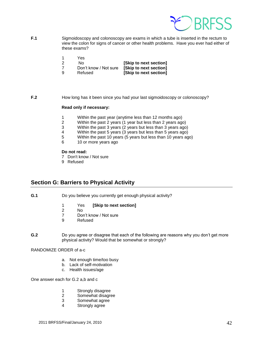

- **F.1** Sigmoidoscopy and colonoscopy are exams in which a tube is inserted in the rectum to view the colon for signs of cancer or other health problems. Have you ever had either of these exams?
	- 1 Yes
	- 2 No **[Skip to next section]**
	- 7 Don't know / Not sure **[Skip to next section]**
	- 9 Refused **[Skip to next section]**

**F.2 How long has it been since you had your last sigmoidoscopy or colonoscopy?** 

#### **Read only if necessary:**

- 1 Within the past year (anytime less than 12 months ago)
- 2 Within the past 2 years (1 year but less than 2 years ago)
- 3 Within the past 3 years (2 years but less than 3 years ago)<br>4 Within the past 5 years (3 years but less than 5 years ago)
- Within the past 5 years (3 years but less than 5 years ago)
- 5 Within the past 10 years (5 years but less than 10 years ago)
- 6 10 or more years ago

#### **Do not read:**

- 7 Don't know / Not sure
- 9 Refused

# <span id="page-41-0"></span>**Section G: Barriers to Physical Activity**

- **G.1** Do you believe you currently get enough physical activity?
	- 1 Yes **[Skip to next section]**
	- 2 No<br>7 Dor
	- Don't know / Not sure
	- 9 Refused
- **G.2** Do you agree or disagree that each of the following are reasons why you don't get more physical activity? Would that be somewhat or strongly?

RANDOMIZE ORDER of a-c

- a. Not enough time/too busy
- b. Lack of self-motivation
- c. Health issues/age

One answer each for G.2 a,b and c

- 1 Strongly disagree<br>2 Somewhat disagre
- Somewhat disagree
- 3 Somewhat agree
- 4 Strongly agree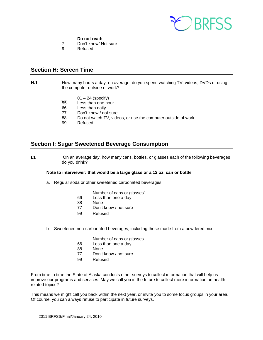

#### **Do not read:**

- 7 Don't know/ Not sure
- 9 Refused

# <span id="page-42-0"></span>**Section H: Screen Time**

- **H.1 How many hours a day, on average, do you spend watching TV, videos, DVDs or using** the computer outside of work?
	- $01 24$  (specify)
	- 55 Less than one hour
	- 66 Less than daily
	- 77 Don't know / not sure
	- 88 Do not watch TV, videos, or use the computer outside of work
	- 99 Refused

# <span id="page-42-1"></span>**Section I: Sugar Sweetened Beverage Consumption**

**I.1** On an average day, how many cans, bottles, or glasses each of the following beverages do you drink?

#### **Note to interviewer: that would be a large glass or a 12 oz. can or bottle**

- a. Regular soda or other sweetened carbonated beverages
	- Number of cans or glasses'
	- 66 Less than one a day
	- 88 None
	- 77 Don't know / not sure
	- 99 Refused
- b. Sweetened non-carbonated beverages, including those made from a powdered mix
	- $\frac{1}{66}$  Number of cans or glasses<br>66 Less than one a day
	- Less than one a day
	- 88 None
	- 77 Don't know / not sure
	- 99 Refused

From time to time the State of Alaska conducts other surveys to collect information that will help us improve our programs and services. May we call you in the future to collect more information on healthrelated topics?

This means we might call you back within the next year, or invite you to some focus groups in your area. Of course, you can always refuse to participate in future surveys.